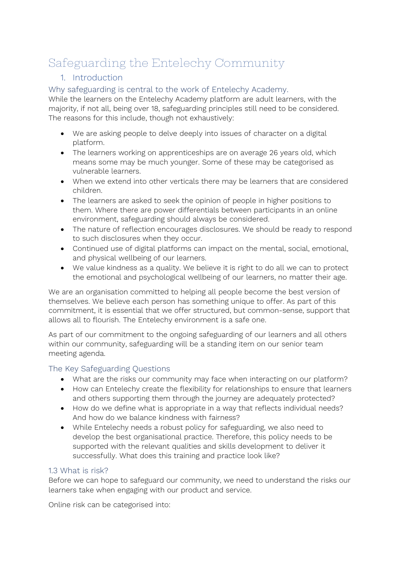# Safeguarding the Entelechy Community

# 1. Introduction

Why safeguarding is central to the work of Entelechy Academy.

While the learners on the Entelechy Academy platform are adult learners, with the majority, if not all, being over 18, safeguarding principles still need to be considered. The reasons for this include, though not exhaustively:

- We are asking people to delve deeply into issues of character on a digital platform.
- The learners working on apprenticeships are on average 26 years old, which means some may be much younger. Some of these may be categorised as vulnerable learners.
- When we extend into other verticals there may be learners that are considered children.
- The learners are asked to seek the opinion of people in higher positions to them. Where there are power differentials between participants in an online environment, safeguarding should always be considered.
- The nature of reflection encourages disclosures. We should be ready to respond to such disclosures when they occur.
- Continued use of digital platforms can impact on the mental, social, emotional, and physical wellbeing of our learners.
- We value kindness as a quality. We believe it is right to do all we can to protect the emotional and psychological wellbeing of our learners, no matter their age.

We are an organisation committed to helping all people become the best version of themselves. We believe each person has something unique to offer. As part of this commitment, it is essential that we offer structured, but common-sense, support that allows all to flourish. The Entelechy environment is a safe one.

As part of our commitment to the ongoing safeguarding of our learners and all others within our community, safeguarding will be a standing item on our senior team meeting agenda.

# The Key Safeguarding Questions

- What are the risks our community may face when interacting on our platform?
- How can Entelechy create the flexibility for relationships to ensure that learners and others supporting them through the journey are adequately protected?
- How do we define what is appropriate in a way that reflects individual needs? And how do we balance kindness with fairness?
- While Entelechy needs a robust policy for safeguarding, we also need to develop the best organisational practice. Therefore, this policy needs to be supported with the relevant qualities and skills development to deliver it successfully. What does this training and practice look like?

#### 1.3 What is risk?

Before we can hope to safeguard our community, we need to understand the risks our learners take when engaging with our product and service.

Online risk can be categorised into: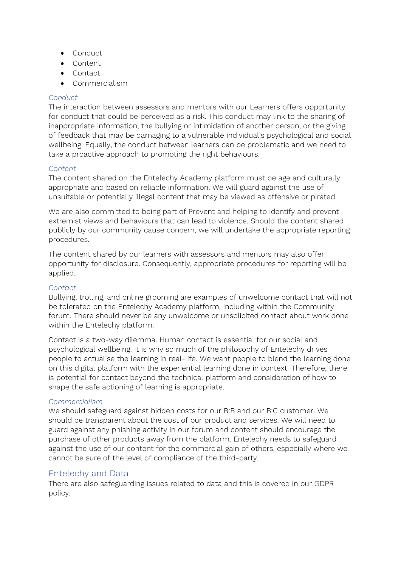- Conduct
- Content
- Contact
- Commercialism

#### *Conduct*

The interaction between assessors and mentors with our Learners offers opportunity for conduct that could be perceived as a risk. This conduct may link to the sharing of inappropriate information, the bullying or intimidation of another person, or the giving of feedback that may be damaging to a vulnerable individual's psychological and social wellbeing. Equally, the conduct between learners can be problematic and we need to take a proactive approach to promoting the right behaviours.

#### *Content*

The content shared on the Entelechy Academy platform must be age and culturally appropriate and based on reliable information. We will guard against the use of unsuitable or potentially illegal content that may be viewed as offensive or pirated.

We are also committed to being part of Prevent and helping to identify and prevent extremist views and behaviours that can lead to violence. Should the content shared publicly by our community cause concern, we will undertake the appropriate reporting procedures.

The content shared by our learners with assessors and mentors may also offer opportunity for disclosure. Consequently, appropriate procedures for reporting will be applied.

#### *Contact*

Bullying, trolling, and online grooming are examples of unwelcome contact that will not be tolerated on the Entelechy Academy platform, including within the Community forum. There should never be any unwelcome or unsolicited contact about work done within the Entelechy platform.

Contact is a two-way dilemma. Human contact is essential for our social and psychological wellbeing. It is why so much of the philosophy of Entelechy drives people to actualise the learning in real-life. We want people to blend the learning done on this digital platform with the experiential learning done in context. Therefore, there is potential for contact beyond the technical platform and consideration of how to shape the safe actioning of learning is appropriate.

#### *Commercialism*

We should safeguard against hidden costs for our B:B and our B:C customer. We should be transparent about the cost of our product and services. We will need to guard against any phishing activity in our forum and content should encourage the purchase of other products away from the platform. Entelechy needs to safeguard against the use of our content for the commercial gain of others, especially where we cannot be sure of the level of compliance of the third-party.

# Entelechy and Data

There are also safeguarding issues related to data and this is covered in our GDPR policy.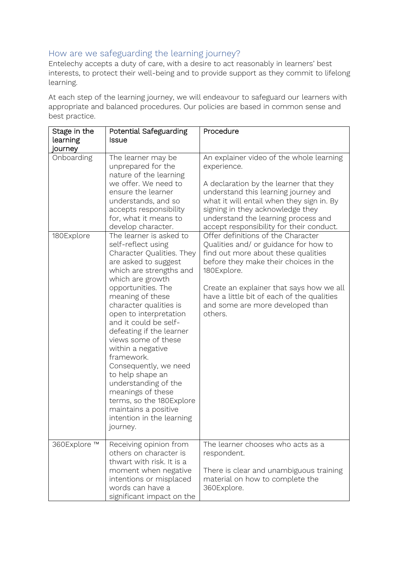# How are we safeguarding the learning journey?

Entelechy accepts a duty of care, with a desire to act reasonably in learners' best interests, to protect their well-being and to provide support as they commit to lifelong learning.

At each step of the learning journey, we will endeavour to safeguard our learners with appropriate and balanced procedures. Our policies are based in common sense and best practice.

| Stage in the | Potential Safeguarding                                                                                                                                                                                                                                                                                                                                                                                                                                                                                                                                | Procedure                                                                                                                                                                                                                                                                                                           |
|--------------|-------------------------------------------------------------------------------------------------------------------------------------------------------------------------------------------------------------------------------------------------------------------------------------------------------------------------------------------------------------------------------------------------------------------------------------------------------------------------------------------------------------------------------------------------------|---------------------------------------------------------------------------------------------------------------------------------------------------------------------------------------------------------------------------------------------------------------------------------------------------------------------|
| learning     | <b>Issue</b>                                                                                                                                                                                                                                                                                                                                                                                                                                                                                                                                          |                                                                                                                                                                                                                                                                                                                     |
| journey      |                                                                                                                                                                                                                                                                                                                                                                                                                                                                                                                                                       |                                                                                                                                                                                                                                                                                                                     |
| Onboarding   | The learner may be<br>unprepared for the<br>nature of the learning<br>we offer. We need to<br>ensure the learner<br>understands, and so<br>accepts responsibility<br>for, what it means to<br>develop character.                                                                                                                                                                                                                                                                                                                                      | An explainer video of the whole learning<br>experience.<br>A declaration by the learner that they<br>understand this learning journey and<br>what it will entail when they sign in. By<br>signing in they acknowledge they<br>understand the learning process and<br>accept responsibility for their conduct.       |
| 180Explore   | The learner is asked to<br>self-reflect using<br>Character Qualities. They<br>are asked to suggest<br>which are strengths and<br>which are growth<br>opportunities. The<br>meaning of these<br>character qualities is<br>open to interpretation<br>and it could be self-<br>defeating if the learner<br>views some of these<br>within a negative<br>framework.<br>Consequently, we need<br>to help shape an<br>understanding of the<br>meanings of these<br>terms, so the 180Explore<br>maintains a positive<br>intention in the learning<br>journey. | Offer definitions of the Character<br>Qualities and/ or guidance for how to<br>find out more about these qualities<br>before they make their choices in the<br>180Explore.<br>Create an explainer that says how we all<br>have a little bit of each of the qualities<br>and some are more developed than<br>others. |
| 360Explore ™ | Receiving opinion from<br>others on character is<br>thwart with risk. It is a<br>moment when negative<br>intentions or misplaced<br>words can have a<br>significant impact on the                                                                                                                                                                                                                                                                                                                                                                     | The learner chooses who acts as a<br>respondent.<br>There is clear and unambiguous training<br>material on how to complete the<br>360Explore.                                                                                                                                                                       |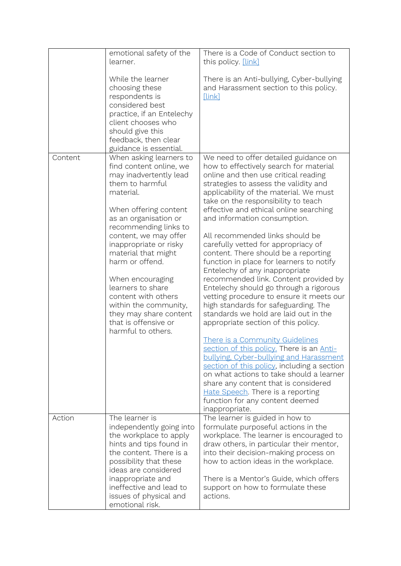|         | emotional safety of the<br>learner.                                                                                                                                                                                                                                                                                                                                                                                                                   | There is a Code of Conduct section to<br>this policy. [link]                                                                                                                                                                                                                                                                                                                                                                                                                                                                                                                                                                                                                                                                                                                                                                                                                                                                                                                                                                                                                                                                                      |
|---------|-------------------------------------------------------------------------------------------------------------------------------------------------------------------------------------------------------------------------------------------------------------------------------------------------------------------------------------------------------------------------------------------------------------------------------------------------------|---------------------------------------------------------------------------------------------------------------------------------------------------------------------------------------------------------------------------------------------------------------------------------------------------------------------------------------------------------------------------------------------------------------------------------------------------------------------------------------------------------------------------------------------------------------------------------------------------------------------------------------------------------------------------------------------------------------------------------------------------------------------------------------------------------------------------------------------------------------------------------------------------------------------------------------------------------------------------------------------------------------------------------------------------------------------------------------------------------------------------------------------------|
|         | While the learner<br>choosing these<br>respondents is<br>considered best<br>practice, if an Entelechy<br>client chooses who<br>should give this<br>feedback, then clear<br>guidance is essential.                                                                                                                                                                                                                                                     | There is an Anti-bullying, Cyber-bullying<br>and Harassment section to this policy.<br>[link]                                                                                                                                                                                                                                                                                                                                                                                                                                                                                                                                                                                                                                                                                                                                                                                                                                                                                                                                                                                                                                                     |
| Content | When asking learners to<br>find content online, we<br>may inadvertently lead<br>them to harmful<br>material.<br>When offering content<br>as an organisation or<br>recommending links to<br>content, we may offer<br>inappropriate or risky<br>material that might<br>harm or offend.<br>When encouraging<br>learners to share<br>content with others<br>within the community,<br>they may share content<br>that is offensive or<br>harmful to others. | We need to offer detailed guidance on<br>how to effectively search for material<br>online and then use critical reading<br>strategies to assess the validity and<br>applicability of the material. We must<br>take on the responsibility to teach<br>effective and ethical online searching<br>and information consumption.<br>All recommended links should be<br>carefully vetted for appropriacy of<br>content. There should be a reporting<br>function in place for learners to notify<br>Entelechy of any inappropriate<br>recommended link. Content provided by<br>Entelechy should go through a rigorous<br>vetting procedure to ensure it meets our<br>high standards for safeguarding. The<br>standards we hold are laid out in the<br>appropriate section of this policy.<br>There is a Community Guidelines<br>section of this policy. There is an Anti-<br><u>bullying, Cyber-bullying and Harassment</u><br>section of this policy, including a section<br>on what actions to take should a learner<br>share any content that is considered<br>Hate Speech. There is a reporting<br>function for any content deemed<br>inappropriate. |
| Action  | The learner is<br>independently going into<br>the workplace to apply<br>hints and tips found in<br>the content. There is a<br>possibility that these<br>ideas are considered<br>inappropriate and<br>ineffective and lead to<br>issues of physical and<br>emotional risk.                                                                                                                                                                             | The learner is guided in how to<br>formulate purposeful actions in the<br>workplace. The learner is encouraged to<br>draw others, in particular their mentor,<br>into their decision-making process on<br>how to action ideas in the workplace.<br>There is a Mentor's Guide, which offers<br>support on how to formulate these<br>actions.                                                                                                                                                                                                                                                                                                                                                                                                                                                                                                                                                                                                                                                                                                                                                                                                       |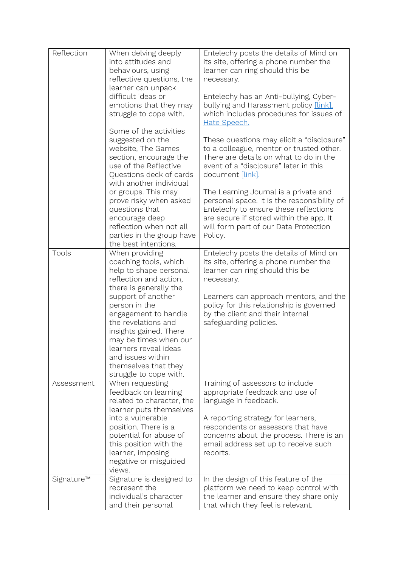| Reflection | When delving deeply<br>into attitudes and<br>behaviours, using<br>reflective questions, the<br>learner can unpack<br>difficult ideas or<br>emotions that they may<br>struggle to cope with.                                                                                                                                                                    | Entelechy posts the details of Mind on<br>its site, offering a phone number the<br>learner can ring should this be<br>necessary.<br>Entelechy has an Anti-bullying, Cyber-<br>bullying and Harassment policy [link],<br>which includes procedures for issues of<br>Hate Speech.      |
|------------|----------------------------------------------------------------------------------------------------------------------------------------------------------------------------------------------------------------------------------------------------------------------------------------------------------------------------------------------------------------|--------------------------------------------------------------------------------------------------------------------------------------------------------------------------------------------------------------------------------------------------------------------------------------|
|            | Some of the activities<br>suggested on the<br>website, The Games<br>section, encourage the<br>use of the Reflective<br>Questions deck of cards<br>with another individual                                                                                                                                                                                      | These questions may elicit a "disclosure"<br>to a colleague, mentor or trusted other.<br>There are details on what to do in the<br>event of a "disclosure" later in this<br>document [link].                                                                                         |
|            | or groups. This may<br>prove risky when asked<br>questions that<br>encourage deep<br>reflection when not all<br>parties in the group have<br>the best intentions.                                                                                                                                                                                              | The Learning Journal is a private and<br>personal space. It is the responsibility of<br>Entelechy to ensure these reflections<br>are secure if stored within the app. It<br>will form part of our Data Protection<br>Policy.                                                         |
| Tools      | When providing<br>coaching tools, which<br>help to shape personal<br>reflection and action,<br>there is generally the<br>support of another<br>person in the<br>engagement to handle<br>the revelations and<br>insights gained. There<br>may be times when our<br>learners reveal ideas<br>and issues within<br>themselves that they<br>struggle to cope with. | Entelechy posts the details of Mind on<br>its site, offering a phone number the<br>learner can ring should this be<br>necessary.<br>Learners can approach mentors, and the<br>policy for this relationship is governed<br>by the client and their internal<br>safeguarding policies. |
| Assessment | When requesting<br>feedback on learning<br>related to character, the<br>learner puts themselves<br>into a vulnerable<br>position. There is a<br>potential for abuse of<br>this position with the<br>learner, imposing<br>negative or misguided<br>views.                                                                                                       | Training of assessors to include<br>appropriate feedback and use of<br>language in feedback.<br>A reporting strategy for learners,<br>respondents or assessors that have<br>concerns about the process. There is an<br>email address set up to receive such<br>reports.              |
| Signature™ | Signature is designed to<br>represent the<br>individual's character<br>and their personal                                                                                                                                                                                                                                                                      | In the design of this feature of the<br>platform we need to keep control with<br>the learner and ensure they share only<br>that which they feel is relevant.                                                                                                                         |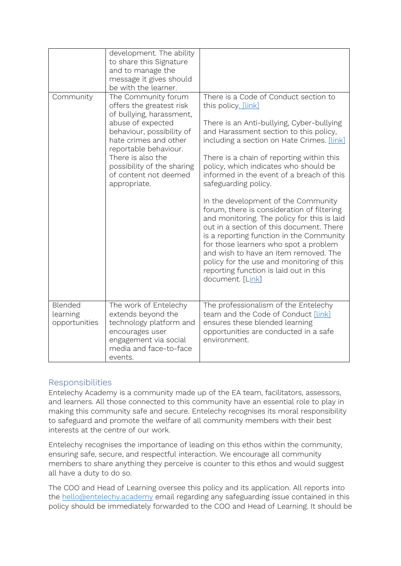|                                      | development. The ability<br>to share this Signature<br>and to manage the<br>message it gives should<br>be with the learner.                                                                                                                                                 |                                                                                                                                                                                                                                                                                                                                                                                                                                                                                                                                                                                                                                                                                                                                                                                       |
|--------------------------------------|-----------------------------------------------------------------------------------------------------------------------------------------------------------------------------------------------------------------------------------------------------------------------------|---------------------------------------------------------------------------------------------------------------------------------------------------------------------------------------------------------------------------------------------------------------------------------------------------------------------------------------------------------------------------------------------------------------------------------------------------------------------------------------------------------------------------------------------------------------------------------------------------------------------------------------------------------------------------------------------------------------------------------------------------------------------------------------|
| Community                            | The Community forum<br>offers the greatest risk<br>of bullying, harassment,<br>abuse of expected<br>behaviour, possibility of<br>hate crimes and other<br>reportable behaviour.<br>There is also the<br>possibility of the sharing<br>of content not deemed<br>appropriate. | There is a Code of Conduct section to<br>this policy. [link]<br>There is an Anti-bullying, Cyber-bullying<br>and Harassment section to this policy,<br>including a section on Hate Crimes. [link]<br>There is a chain of reporting within this<br>policy, which indicates who should be<br>informed in the event of a breach of this<br>safeguarding policy.<br>In the development of the Community<br>forum, there is consideration of filtering<br>and monitoring. The policy for this is laid<br>out in a section of this document. There<br>is a reporting function in the Community<br>for those learners who spot a problem<br>and wish to have an item removed. The<br>policy for the use and monitoring of this<br>reporting function is laid out in this<br>document. [Link] |
| Blended<br>learning<br>opportunities | The work of Entelechy<br>extends beyond the<br>technology platform and<br>encourages user<br>engagement via social<br>media and face-to-face<br>events.                                                                                                                     | The professionalism of the Entelechy<br>team and the Code of Conduct [link]<br>ensures these blended learning<br>opportunities are conducted in a safe<br>environment.                                                                                                                                                                                                                                                                                                                                                                                                                                                                                                                                                                                                                |

# <span id="page-5-0"></span>**Responsibilities**

Entelechy Academy is a community made up of the EA team, facilitators, assessors, and learners. All those connected to this community have an essential role to play in making this community safe and secure. Entelechy recognises its moral responsibility to safeguard and promote the welfare of all community members with their best interests at the centre of our work.

Entelechy recognises the importance of leading on this ethos within the community, ensuring safe, secure, and respectful interaction. We encourage all community members to share anything they perceive is counter to this ethos and would suggest all have a duty to do so.

The COO and Head of Learning oversee this policy and its application. All reports into the [hello@entelechy.academy](mailto:hello@entelechy.academy) email regarding any safeguarding issue contained in this policy should be immediately forwarded to the COO and Head of Learning. It should be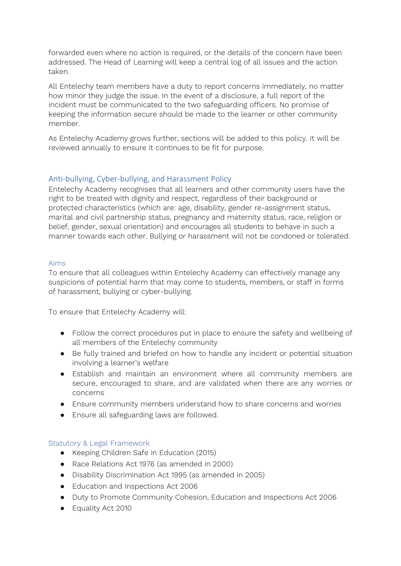forwarded even where no action is required, or the details of the concern have been addressed. The Head of Learning will keep a central log of all issues and the action taken.

All Entelechy team members have a duty to report concerns immediately, no matter how minor they judge the issue. In the event of a disclosure, a full report of the incident must be communicated to the two safeguarding officers. No promise of keeping the information secure should be made to the learner or other community member.

As Entelechy Academy grows further, sections will be added to this policy. It will be reviewed annually to ensure it continues to be fit for purpose.

# Anti-bullying, Cyber-bullying, and Harassment Policy

Entelechy Academy recognises that all learners and other community users have the right to be treated with dignity and respect, regardless of their background or protected characteristics (which are: age, disability, gender re-assignment status, marital and civil partnership status, pregnancy and maternity status, race, religion or belief, gender, sexual orientation) and encourages all students to behave in such a manner towards each other. Bullying or harassment will not be condoned or tolerated.

#### Aims

To ensure that all colleagues within Entelechy Academy can effectively manage any suspicions of potential harm that may come to students, members, or staff in forms of harassment, bullying or cyber-bullying.

To ensure that Entelechy Academy will:

- Follow the correct procedures put in place to ensure the safety and wellbeing of all members of the Entelechy community
- Be fully trained and briefed on how to handle any incident or potential situation involving a learner's welfare
- Establish and maintain an environment where all community members are secure, encouraged to share, and are validated when there are any worries or concerns
- Ensure community members understand how to share concerns and worries
- Ensure all safeguarding laws are followed.

#### Statutory & Legal Framework

- Keeping Children Safe in Education (2015)
- Race Relations Act 1976 (as amended in 2000)
- Disability Discrimination Act 1995 (as amended in 2005)
- Education and Inspections Act 2006
- Duty to Promote Community Cohesion, Education and Inspections Act 2006
- Equality Act 2010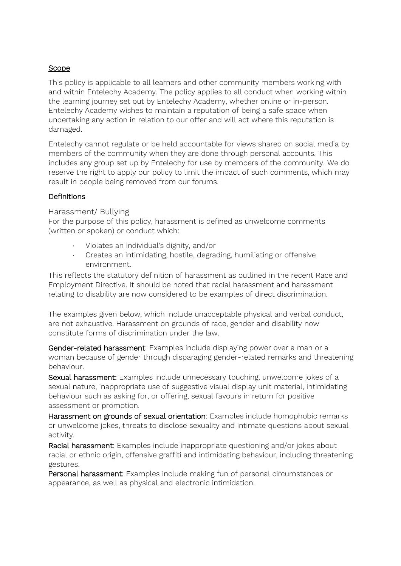#### Scope

This policy is applicable to all learners and other community members working with and within Entelechy Academy. The policy applies to all conduct when working within the learning journey set out by Entelechy Academy, whether online or in-person. Entelechy Academy wishes to maintain a reputation of being a safe space when undertaking any action in relation to our offer and will act where this reputation is damaged.

Entelechy cannot regulate or be held accountable for views shared on social media by members of the community when they are done through personal accounts. This includes any group set up by Entelechy for use by members of the community. We do reserve the right to apply our policy to limit the impact of such comments, which may result in people being removed from our forums.

#### Definitions

#### <span id="page-7-0"></span>Harassment/ Bullying

For the purpose of this policy, harassment is defined as unwelcome comments (written or spoken) or conduct which:

- · Violates an individual's dignity, and/or
- · Creates an intimidating, hostile, degrading, humiliating or offensive environment.

This reflects the statutory definition of harassment as outlined in the recent Race and Employment Directive. It should be noted that racial harassment and harassment relating to disability are now considered to be examples of direct discrimination.

The examples given below, which include unacceptable physical and verbal conduct, are not exhaustive. Harassment on grounds of race, gender and disability now constitute forms of discrimination under the law.

Gender-related harassment: Examples include displaying power over a man or a woman because of gender through disparaging gender-related remarks and threatening behaviour.

Sexual harassment: Examples include unnecessary touching, unwelcome jokes of a sexual nature, inappropriate use of suggestive visual display unit material, intimidating behaviour such as asking for, or offering, sexual favours in return for positive assessment or promotion.

Harassment on grounds of sexual orientation: Examples include homophobic remarks or unwelcome jokes, threats to disclose sexuality and intimate questions about sexual activity.

Racial harassment: Examples include inappropriate questioning and/or jokes about racial or ethnic origin, offensive graffiti and intimidating behaviour, including threatening gestures.

Personal harassment:Examples include making fun of personal circumstances or appearance, as well as physical and electronic intimidation.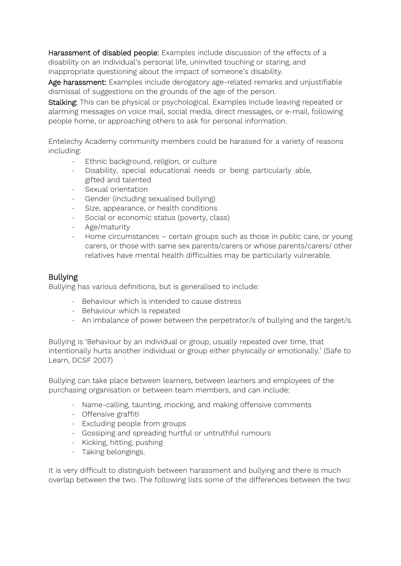Harassment of disabled people: Examples include discussion of the effects of a disability on an individual's personal life, uninvited touching or staring, and inappropriate questioning about the impact of someone's disability.

Age harassment: Examples include derogatory age-related remarks and unjustifiable dismissal of suggestions on the grounds of the age of the person.

Stalking: This can be physical or psychological. Examples include leaving repeated or alarming messages on voice mail, social media, direct messages, or e-mail, following people home, or approaching others to ask for personal information.

Entelechy Academy community members could be harassed for a variety of reasons including:

- Ethnic background, religion, or culture
- · Disability, special educational needs or being particularly able, gifted and talented
- · Sexual orientation
- Gender (including sexualised bullying)
- Size, appearance, or health conditions
- Social or economic status (poverty, class)
- · Age/maturity
- · Home circumstances certain groups such as those in public care, or young carers, or those with same sex parents/carers or whose parents/carers/ other relatives have mental health difficulties may be particularly vulnerable.

# Bullying

Bullying has various definitions, but is generalised to include:

- · Behaviour which is intended to cause distress
- · Behaviour which is repeated
- · An imbalance of power between the perpetrator/s of bullying and the target/s.

Bullying is 'Behaviour by an individual or group, usually repeated over time, that intentionally hurts another individual or group either physically or emotionally.' (Safe to Learn, DCSF 2007)

Bullying can take place between learners, between learners and employees of the purchasing organisation or between team members, and can include:

- · Name-calling, taunting, mocking, and making offensive comments
- · Offensive graffiti
- · Excluding people from groups
- · Gossiping and spreading hurtful or untruthful rumours
- · Kicking, hitting, pushing
- · Taking belongings.

It is very difficult to distinguish between harassment and bullying and there is much overlap between the two. The following lists some of the differences between the two: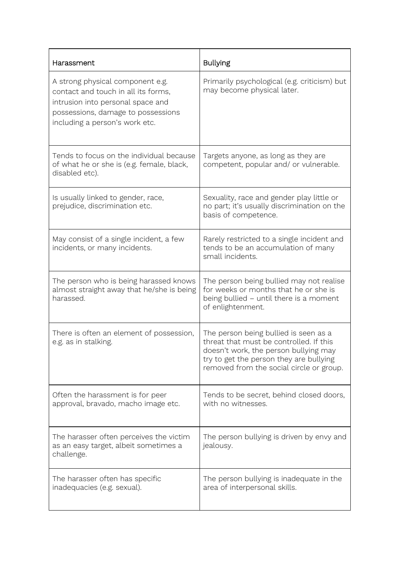| Harassment                                                                                                                                                                           | <b>Bullying</b>                                                                                                                                                                                                  |
|--------------------------------------------------------------------------------------------------------------------------------------------------------------------------------------|------------------------------------------------------------------------------------------------------------------------------------------------------------------------------------------------------------------|
| A strong physical component e.g.<br>contact and touch in all its forms,<br>intrusion into personal space and<br>possessions, damage to possessions<br>including a person's work etc. | Primarily psychological (e.g. criticism) but<br>may become physical later.                                                                                                                                       |
| Tends to focus on the individual because<br>of what he or she is (e.g. female, black,<br>disabled etc).                                                                              | Targets anyone, as long as they are<br>competent, popular and/ or vulnerable.                                                                                                                                    |
| Is usually linked to gender, race,<br>prejudice, discrimination etc.                                                                                                                 | Sexuality, race and gender play little or<br>no part; it's usually discrimination on the<br>basis of competence.                                                                                                 |
| May consist of a single incident, a few<br>incidents, or many incidents.                                                                                                             | Rarely restricted to a single incident and<br>tends to be an accumulation of many<br>small incidents.                                                                                                            |
| The person who is being harassed knows<br>almost straight away that he/she is being<br>harassed.                                                                                     | The person being bullied may not realise<br>for weeks or months that he or she is<br>being bullied - until there is a moment<br>of enlightenment.                                                                |
| There is often an element of possession,<br>e.g. as in stalking.                                                                                                                     | The person being bullied is seen as a<br>threat that must be controlled. If this<br>doesn't work, the person bullying may<br>try to get the person they are bullying<br>removed from the social circle or group. |
| Often the harassment is for peer<br>approval, bravado, macho image etc.                                                                                                              | Tends to be secret, behind closed doors,<br>with no witnesses.                                                                                                                                                   |
| The harasser often perceives the victim<br>as an easy target, albeit sometimes a<br>challenge.                                                                                       | The person bullying is driven by envy and<br>jealousy.                                                                                                                                                           |
| The harasser often has specific<br>inadequacies (e.g. sexual).                                                                                                                       | The person bullying is inadequate in the<br>area of interpersonal skills.                                                                                                                                        |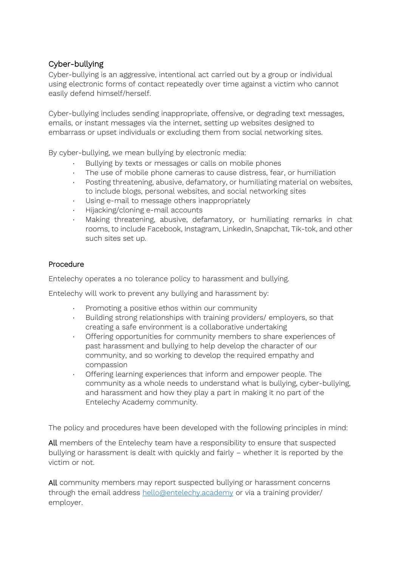# Cyber-bullying

Cyber-bullying is an aggressive, intentional act carried out by a group or individual using electronic forms of contact repeatedly over time against a victim who cannot easily defend himself/herself.

Cyber-bullying includes sending inappropriate, offensive, or degrading text messages, emails, or instant messages via the internet, setting up websites designed to embarrass or upset individuals or excluding them from social networking sites.

By cyber-bullying, we mean bullying by electronic media:

- Bullying by texts or messages or calls on mobile phones
- The use of mobile phone cameras to cause distress, fear, or humiliation
- · Posting threatening, abusive, defamatory, or humiliating material on websites, to include blogs, personal websites, and social networking sites
- · Using e-mail to message others inappropriately
- · Hijacking/cloning e-mail accounts
- Making threatening, abusive, defamatory, or humiliating remarks in chat rooms, to include Facebook, Instagram, LinkedIn, Snapchat, Tik-tok, and other such sites set up.

# Procedure

Entelechy operates a no tolerance policy to harassment and bullying.

Entelechy will work to prevent any bullying and harassment by:

- · Promoting a positive ethos within our community
- · Building strong relationships with training providers/ employers, so that creating a safe environment is a collaborative undertaking
- · Offering opportunities for community members to share experiences of past harassment and bullying to help develop the character of our community, and so working to develop the required empathy and compassion
- · Offering learning experiences that inform and empower people. The community as a whole needs to understand what is bullying, cyber-bullying, and harassment and how they play a part in making it no part of the Entelechy Academy community.

The policy and procedures have been developed with the following principles in mind:

All members of the Entelechy team have a responsibility to ensure that suspected bullying or harassment is dealt with quickly and fairly – whether it is reported by the victim or not.

All community members may report suspected bullying or harassment concerns through the email address [hello@entelechy.academy](mailto:hello@entelechy.academy) or via a training provider/ employer.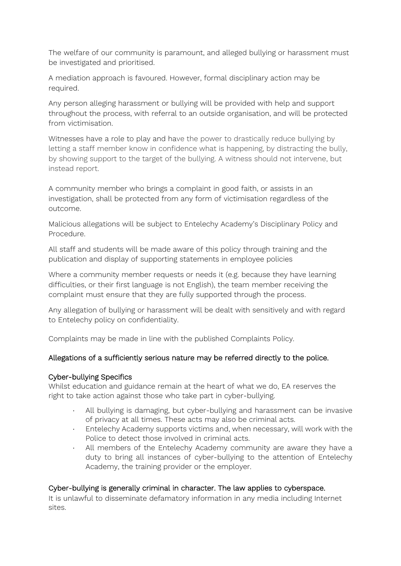The welfare of our community is paramount, and alleged bullying or harassment must be investigated and prioritised.

A mediation approach is favoured. However, formal disciplinary action may be required.

Any person alleging harassment or bullying will be provided with help and support throughout the process, with referral to an outside organisation, and will be protected from victimisation.

Witnesses have a role to play and have the power to drastically reduce bullying by letting a staff member know in confidence what is happening, by distracting the bully, by showing support to the target of the bullying. A witness should not intervene, but instead report.

A community member who brings a complaint in good faith, or assists in an investigation, shall be protected from any form of victimisation regardless of the outcome.

Malicious allegations will be subject to Entelechy Academy's Disciplinary Policy and Procedure.

All staff and students will be made aware of this policy through training and the publication and display of supporting statements in employee policies

Where a community member requests or needs it (e.g. because they have learning difficulties, or their first language is not English), the team member receiving the complaint must ensure that they are fully supported through the process.

Any allegation of bullying or harassment will be dealt with sensitively and with regard to Entelechy policy on confidentiality.

Complaints may be made in line with the published Complaints Policy.

# Allegations of a sufficiently serious nature may be referred directly to the police.

# Cyber-bullying Specifics

Whilst education and guidance remain at the heart of what we do, EA reserves the right to take action against those who take part in cyber-bullying.

- · All bullying is damaging, but cyber-bullying and harassment can be invasive of privacy at all times. These acts may also be criminal acts.
- · Entelechy Academy supports victims and, when necessary, will work with the Police to detect those involved in criminal acts.
- · All members of the Entelechy Academy community are aware they have a duty to bring all instances of cyber-bullying to the attention of Entelechy Academy, the training provider or the employer.

# Cyber-bullying is generally criminal in character. The law applies to cyberspace.

It is unlawful to disseminate defamatory information in any media including Internet sites.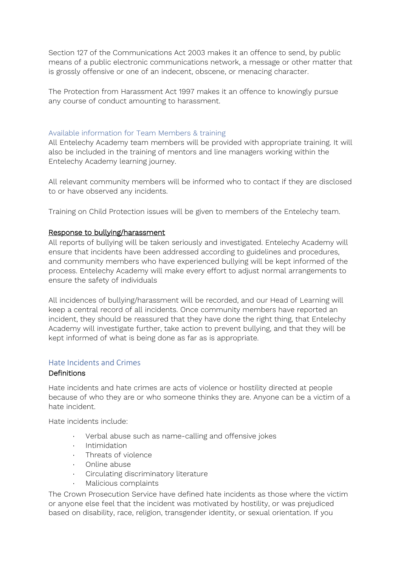Section 127 of the Communications Act 2003 makes it an offence to send, by public means of a public electronic communications network, a message or other matter that is grossly offensive or one of an indecent, obscene, or menacing character.

The Protection from Harassment Act 1997 makes it an offence to knowingly pursue any course of conduct amounting to harassment.

#### Available information for Team Members & training

All Entelechy Academy team members will be provided with appropriate training. It will also be included in the training of mentors and line managers working within the Entelechy Academy learning journey.

All relevant community members will be informed who to contact if they are disclosed to or have observed any incidents.

Training on Child Protection issues will be given to members of the Entelechy team.

#### Response to bullying/harassment

All reports of bullying will be taken seriously and investigated. Entelechy Academy will ensure that incidents have been addressed according to guidelines and procedures, and community members who have experienced bullying will be kept informed of the process. Entelechy Academy will make every effort to adjust normal arrangements to ensure the safety of individuals

All incidences of bullying/harassment will be recorded, and our Head of Learning will keep a central record of all incidents. Once community members have reported an incident, they should be reassured that they have done the right thing, that Entelechy Academy will investigate further, take action to prevent bullying, and that they will be kept informed of what is being done as far as is appropriate.

#### <span id="page-12-0"></span>Hate Incidents and Crimes

#### Definitions

Hate incidents and hate crimes are acts of violence or hostility directed at people because of who they are or who someone thinks they are. Anyone can be a victim of a hate incident.

Hate incidents include:

- Verbal abuse such as name-calling and offensive jokes
- · Intimidation
- · Threats of violence
- · Online abuse
- · Circulating discriminatory literature
- · Malicious complaints

The Crown Prosecution Service have defined hate incidents as those where the victim or anyone else feel that the incident was motivated by hostility, or was prejudiced based on disability, race, religion, transgender identity, or sexual orientation. If you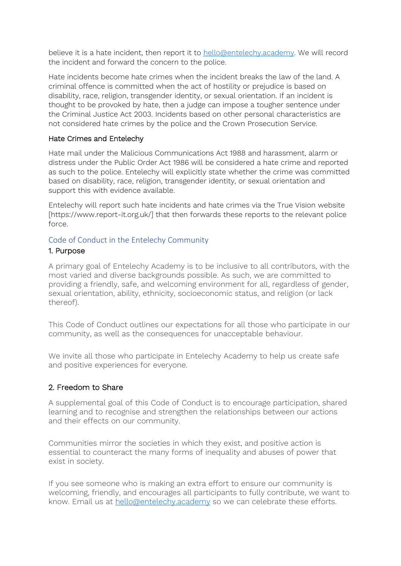believe it is a hate incident, then report it to [hello@entelechy.academy.](mailto:hello@entelechy.academy) We will record the incident and forward the concern to the police.

Hate incidents become hate crimes when the incident breaks the law of the land. A criminal offence is committed when the act of hostility or prejudice is based on disability, race, religion, transgender identity, or sexual orientation. If an incident is thought to be provoked by hate, then a judge can impose a tougher sentence under the Criminal Justice Act 2003. Incidents based on other personal characteristics are not considered hate crimes by the police and the Crown Prosecution Service.

#### Hate Crimes and Entelechy

Hate mail under the Malicious Communications Act 1988 and harassment, alarm or distress under the Public Order Act 1986 will be considered a hate crime and reported as such to the police. Entelechy will explicitly state whether the crime was committed based on disability, race, religion, transgender identity, or sexual orientation and support this with evidence available.

Entelechy will report such hate incidents and hate crimes via the True Vision website [https://www.report-it.org.uk/] that then forwards these reports to the relevant police force.

# <span id="page-13-0"></span>Code of Conduct in the Entelechy Community

#### 1. Purpose

A primary goal of Entelechy Academy is to be inclusive to all contributors, with the most varied and diverse backgrounds possible. As such, we are committed to providing a friendly, safe, and welcoming environment for all, regardless of gender, sexual orientation, ability, ethnicity, socioeconomic status, and religion (or lack thereof).

This Code of Conduct outlines our expectations for all those who participate in our community, as well as the consequences for unacceptable behaviour.

We invite all those who participate in Entelechy Academy to help us create safe and positive experiences for everyone.

# 2. Freedom to Share

A supplemental goal of this Code of Conduct is to encourage participation, shared learning and to recognise and strengthen the relationships between our actions and their effects on our community.

Communities mirror the societies in which they exist, and positive action is essential to counteract the many forms of inequality and abuses of power that exist in society.

If you see someone who is making an extra effort to ensure our community is welcoming, friendly, and encourages all participants to fully contribute, we want to know. Email us at [hello@entelechy.academy](mailto:hello@entelechy.academy) so we can celebrate these efforts.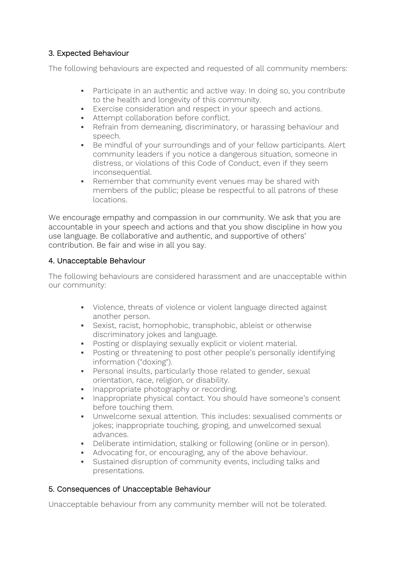# 3. Expected Behaviour

The following behaviours are expected and requested of all community members:

- Participate in an authentic and active way. In doing so, you contribute to the health and longevity of this community.
- **Exercise consideration and respect in your speech and actions.**
- Attempt collaboration before conflict.
- **•** Refrain from demeaning, discriminatory, or harassing behaviour and speech.
- Be mindful of your surroundings and of your fellow participants. Alert community leaders if you notice a dangerous situation, someone in distress, or violations of this Code of Conduct, even if they seem inconsequential.
- Remember that community event venues may be shared with members of the public; please be respectful to all patrons of these locations.

We encourage empathy and compassion in our community. We ask that you are accountable in your speech and actions and that you show discipline in how you use language. Be collaborative and authentic, and supportive of others' contribution. Be fair and wise in all you say.

# 4. Unacceptable Behaviour

The following behaviours are considered harassment and are unacceptable within our community:

- Violence, threats of violence or violent language directed against another person.
- Sexist, racist, homophobic, transphobic, ableist or otherwise discriminatory jokes and language.
- **•** Posting or displaying sexually explicit or violent material.
- Posting or threatening to post other people's personally identifying information ("doxing").
- **•** Personal insults, particularly those related to gender, sexual orientation, race, religion, or disability.
- **•** Inappropriate photography or recording.
- **EXEDENT** Inappropriate physical contact. You should have someone's consent before touching them.
- Unwelcome sexual attention. This includes: sexualised comments or jokes; inappropriate touching, groping, and unwelcomed sexual advances.
- Deliberate intimidation, stalking or following (online or in person).
- **•** Advocating for, or encouraging, any of the above behaviour.
- Sustained disruption of community events, including talks and presentations.

# 5. Consequences of Unacceptable Behaviour

Unacceptable behaviour from any community member will not be tolerated.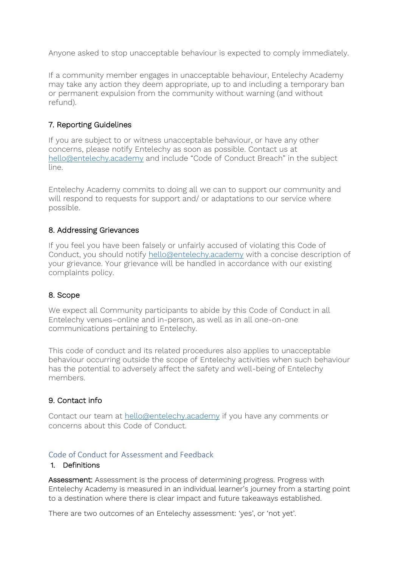Anyone asked to stop unacceptable behaviour is expected to comply immediately.

If a community member engages in unacceptable behaviour, Entelechy Academy may take any action they deem appropriate, up to and including a temporary ban or permanent expulsion from the community without warning (and without refund).

# 7. Reporting Guidelines

If you are subject to or witness unacceptable behaviour, or have any other concerns, please notify Entelechy as soon as possible. Contact us at [hello@entelechy.academy](mailto:hello@entelechy.academy) and include "Code of Conduct Breach" in the subject line.

Entelechy Academy commits to doing all we can to support our community and will respond to requests for support and/ or adaptations to our service where possible.

#### 8. Addressing Grievances

If you feel you have been falsely or unfairly accused of violating this Code of Conduct, you should notify [hello@entelechy.academy](mailto:hello@entelechy.academy) with a concise description of your grievance. Your grievance will be handled in accordance with our existing complaints policy.

# 8. Scope

We expect all Community participants to abide by this Code of Conduct in all Entelechy venues–online and in-person, as well as in all one-on-one communications pertaining to Entelechy.

This code of conduct and its related procedures also applies to unacceptable behaviour occurring outside the scope of Entelechy activities when such behaviour has the potential to adversely affect the safety and well-being of Entelechy members.

# 9. Contact info

Contact our team at [hello@entelechy.academy](mailto:hello@entelechy.academy) if you have any comments or concerns about this Code of Conduct.

#### Code of Conduct for Assessment and Feedback

#### 1. Definitions

Assessment: Assessment is the process of determining progress. Progress with Entelechy Academy is measured in an individual learner's journey from a starting point to a destination where there is clear impact and future takeaways established.

There are two outcomes of an Entelechy assessment: 'yes', or 'not yet'.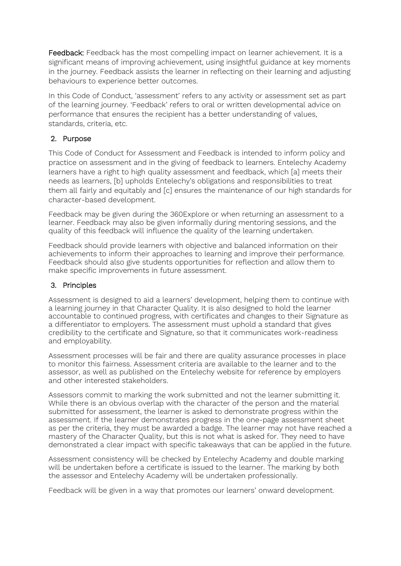Feedback: Feedback has the most compelling impact on learner achievement. It is a significant means of improving achievement, using insightful guidance at key moments in the journey. Feedback assists the learner in reflecting on their learning and adjusting behaviours to experience better outcomes.

In this Code of Conduct, 'assessment' refers to any activity or assessment set as part of the learning journey. 'Feedback' refers to oral or written developmental advice on performance that ensures the recipient has a better understanding of values, standards, criteria, etc.

# 2. Purpose

This Code of Conduct for Assessment and Feedback is intended to inform policy and practice on assessment and in the giving of feedback to learners. Entelechy Academy learners have a right to high quality assessment and feedback, which [a] meets their needs as learners, [b] upholds Entelechy's obligations and responsibilities to treat them all fairly and equitably and [c] ensures the maintenance of our high standards for character-based development.

Feedback may be given during the 360Explore or when returning an assessment to a learner. Feedback may also be given informally during mentoring sessions, and the quality of this feedback will influence the quality of the learning undertaken.

Feedback should provide learners with objective and balanced information on their achievements to inform their approaches to learning and improve their performance. Feedback should also give students opportunities for reflection and allow them to make specific improvements in future assessment.

# 3. Principles

Assessment is designed to aid a learners' development, helping them to continue with a learning journey in that Character Quality. It is also designed to hold the learner accountable to continued progress, with certificates and changes to their Signature as a differentiator to employers. The assessment must uphold a standard that gives credibility to the certificate and Signature, so that it communicates work-readiness and employability.

Assessment processes will be fair and there are quality assurance processes in place to monitor this fairness. Assessment criteria are available to the learner and to the assessor, as well as published on the Entelechy website for reference by employers and other interested stakeholders.

Assessors commit to marking the work submitted and not the learner submitting it. While there is an obvious overlap with the character of the person and the material submitted for assessment, the learner is asked to demonstrate progress within the assessment. If the learner demonstrates progress in the one-page assessment sheet as per the criteria, they must be awarded a badge. The learner may not have reached a mastery of the Character Quality, but this is not what is asked for. They need to have demonstrated a clear impact with specific takeaways that can be applied in the future.

Assessment consistency will be checked by Entelechy Academy and double marking will be undertaken before a certificate is issued to the learner. The marking by both the assessor and Entelechy Academy will be undertaken professionally.

Feedback will be given in a way that promotes our learners' onward development.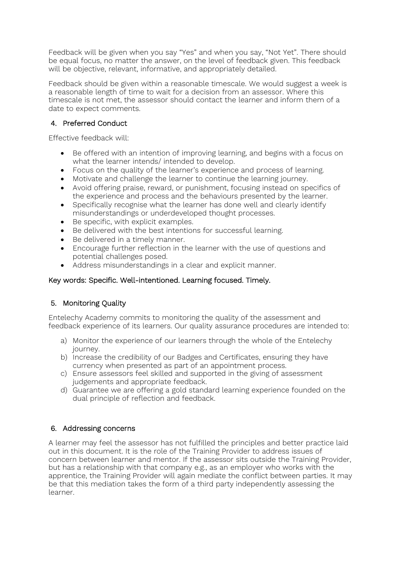Feedback will be given when you say "Yes" and when you say, "Not Yet". There should be equal focus, no matter the answer, on the level of feedback given. This feedback will be objective, relevant, informative, and appropriately detailed.

Feedback should be given within a reasonable timescale. We would suggest a week is a reasonable length of time to wait for a decision from an assessor. Where this timescale is not met, the assessor should contact the learner and inform them of a date to expect comments.

# 4. Preferred Conduct

Effective feedback will:

- Be offered with an intention of improving learning, and begins with a focus on what the learner intends/ intended to develop.
- Focus on the quality of the learner's experience and process of learning.
- Motivate and challenge the learner to continue the learning journey.
- Avoid offering praise, reward, or punishment, focusing instead on specifics of the experience and process and the behaviours presented by the learner.
- Specifically recognise what the learner has done well and clearly identify misunderstandings or underdeveloped thought processes.
- Be specific, with explicit examples.
- Be delivered with the best intentions for successful learning.
- Be delivered in a timely manner.
- Encourage further reflection in the learner with the use of questions and potential challenges posed.
- Address misunderstandings in a clear and explicit manner.

# Key words: Specific. Well-intentioned. Learning focused. Timely.

# 5. Monitoring Quality

Entelechy Academy commits to monitoring the quality of the assessment and feedback experience of its learners. Our quality assurance procedures are intended to:

- a) Monitor the experience of our learners through the whole of the Entelechy journey.
- b) Increase the credibility of our Badges and Certificates, ensuring they have currency when presented as part of an appointment process.
- c) Ensure assessors feel skilled and supported in the giving of assessment judgements and appropriate feedback.
- d) Guarantee we are offering a gold standard learning experience founded on the dual principle of reflection and feedback.

# 6. Addressing concerns

A learner may feel the assessor has not fulfilled the principles and better practice laid out in this document. It is the role of the Training Provider to address issues of concern between learner and mentor. If the assessor sits outside the Training Provider, but has a relationship with that company e.g., as an employer who works with the apprentice, the Training Provider will again mediate the conflict between parties. It may be that this mediation takes the form of a third party independently assessing the learner.